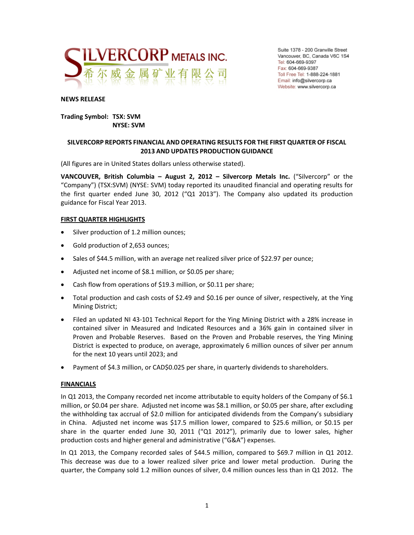

Suite 1378 - 200 Granville Street Vancouver, BC, Canada V6C 1S4 Tel: 604-669-9397 Fax: 604-669-9387 Toll Free Tel: 1-888-224-1881 Email: info@silvercorp.ca Website: www.silvercorp.ca

#### **NEWS RELEASE**

#### **Trading Symbol: TSX: SVM NYSE: SVM**

### **SILVERCORP REPORTS FINANCIAL AND OPERATING RESULTS FOR THE FIRST QUARTER OF FISCAL 2013 AND UPDATES PRODUCTION GUIDANCE**

(All figures are in United States dollars unless otherwise stated).

**VANCOUVER, British Columbia – August 2, 2012 – Silvercorp Metals Inc.** ("Silvercorp" or the "Company") (TSX:SVM) (NYSE: SVM) today reported its unaudited financial and operating results for the first quarter ended June 30, 2012 ("Q1 2013"). The Company also updated its production guidance for Fiscal Year 2013.

#### **FIRST QUARTER HIGHLIGHTS**

- Silver production of 1.2 million ounces;
- Gold production of 2,653 ounces;
- Sales of \$44.5 million, with an average net realized silver price of \$22.97 per ounce;
- Adjusted net income of \$8.1 million, or \$0.05 per share;
- Cash flow from operations of \$19.3 million, or \$0.11 per share;
- Total production and cash costs of \$2.49 and \$0.16 per ounce of silver, respectively, at the Ying Mining District;
- Filed an updated NI 43-101 Technical Report for the Ying Mining District with a 28% increase in contained silver in Measured and Indicated Resources and a 36% gain in contained silver in Proven and Probable Reserves. Based on the Proven and Probable reserves, the Ying Mining District is expected to produce, on average, approximately 6 million ounces of silver per annum for the next 10 years until 2023; and
- Payment of \$4.3 million, or CAD\$0.025 per share, in quarterly dividends to shareholders.

#### **FINANCIALS**

In Q1 2013, the Company recorded net income attributable to equity holders of the Company of \$6.1 million, or \$0.04 per share. Adjusted net income was \$8.1 million, or \$0.05 per share, after excluding the withholding tax accrual of \$2.0 million for anticipated dividends from the Company's subsidiary in China. Adjusted net income was \$17.5 million lower, compared to \$25.6 million, or \$0.15 per share in the quarter ended June 30, 2011 ("Q1 2012"), primarily due to lower sales, higher production costs and higher general and administrative ("G&A") expenses.

In Q1 2013, the Company recorded sales of \$44.5 million, compared to \$69.7 million in Q1 2012. This decrease was due to a lower realized silver price and lower metal production. During the quarter, the Company sold 1.2 million ounces of silver, 0.4 million ounces less than in Q1 2012. The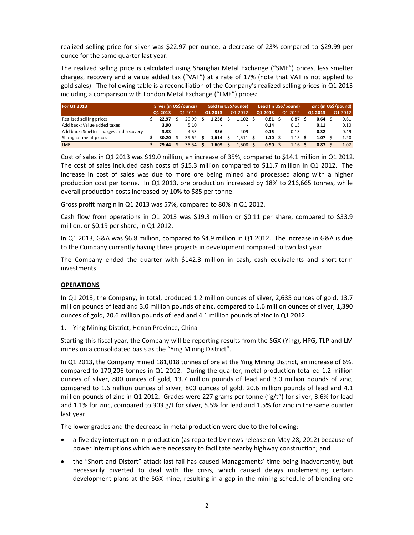realized selling price for silver was \$22.97 per ounce, a decrease of 23% compared to \$29.99 per ounce for the same quarter last year.

The realized selling price is calculated using Shanghai Metal Exchange ("SME") prices, less smelter charges, recovery and a value added tax ("VAT") at a rate of 17% (note that VAT is not applied to gold sales). The following table is a reconciliation of the Company's realized selling prices in Q1 2013 including a comparison with London Metal Exchange ("LME") prices:

| For Q1 2013                            | Silver (in US\$/ounce) |  | Gold (in US\$/ounce) |  |         | Lead (in US\$/pound) |         |  | Zinc (in US\$/pound) |  |         |  |         |  |         |
|----------------------------------------|------------------------|--|----------------------|--|---------|----------------------|---------|--|----------------------|--|---------|--|---------|--|---------|
|                                        | 01 2013                |  | Q1 2012              |  | 01 2013 |                      | Q1 2012 |  | 01 2013              |  | Q1 2012 |  | 01 2013 |  | 01 2012 |
| Realized selling prices                | 22.97                  |  | 29.99                |  | 1.258   |                      | 1.102   |  | 0.81                 |  | 0.87    |  | 0.64    |  | 0.61    |
| Add back: Value added taxes            | 3.90                   |  | 5.10                 |  |         |                      |         |  | 0.14                 |  | 0.15    |  | 0.11    |  | 0.10    |
| Add back: Smelter charges and recovery | 3.33                   |  | 4.53                 |  | 356     |                      | 409     |  | 0.15                 |  | 0.13    |  | 0.32    |  | 0.49    |
| Shanghai metal prices                  | 30.20                  |  | 39.62                |  | 1.614   |                      | 1.511   |  | 1.10                 |  | 1.15    |  | 1.07    |  | 1.20    |
| <b>LME</b>                             | 29.44                  |  | 38.54                |  | 1.609   |                      | 1.508   |  | 0.90                 |  | 1.16    |  | 0.87    |  | 1.02    |

Cost of sales in Q1 2013 was \$19.0 million, an increase of 35%, compared to \$14.1 million in Q1 2012. The cost of sales included cash costs of \$15.3 million compared to \$11.7 million in Q1 2012. The increase in cost of sales was due to more ore being mined and processed along with a higher production cost per tonne. In Q1 2013, ore production increased by 18% to 216,665 tonnes, while overall production costs increased by 10% to \$85 per tonne.

Gross profit margin in Q1 2013 was 57%, compared to 80% in Q1 2012.

Cash flow from operations in Q1 2013 was \$19.3 million or \$0.11 per share, compared to \$33.9 million, or \$0.19 per share, in Q1 2012.

In Q1 2013, G&A was \$6.8 million, compared to \$4.9 million in Q1 2012. The increase in G&A is due to the Company currently having three projects in development compared to two last year.

The Company ended the quarter with \$142.3 million in cash, cash equivalents and short‐term investments.

#### **OPERATIONS**

In Q1 2013, the Company, in total, produced 1.2 million ounces of silver, 2,635 ounces of gold, 13.7 million pounds of lead and 3.0 million pounds of zinc, compared to 1.6 million ounces of silver, 1,390 ounces of gold, 20.6 million pounds of lead and 4.1 million pounds of zinc in Q1 2012.

1. Ying Mining District, Henan Province, China

Starting this fiscal year, the Company will be reporting results from the SGX (Ying), HPG, TLP and LM mines on a consolidated basis as the "Ying Mining District".

In Q1 2013, the Company mined 181,018 tonnes of ore at the Ying Mining District, an increase of 6%, compared to 170,206 tonnes in Q1 2012. During the quarter, metal production totalled 1.2 million ounces of silver, 800 ounces of gold, 13.7 million pounds of lead and 3.0 million pounds of zinc, compared to 1.6 million ounces of silver, 800 ounces of gold, 20.6 million pounds of lead and 4.1 million pounds of zinc in Q1 2012. Grades were 227 grams per tonne ("g/t") for silver, 3.6% for lead and 1.1% for zinc, compared to 303 g/t for silver, 5.5% for lead and 1.5% for zinc in the same quarter last year.

The lower grades and the decrease in metal production were due to the following:

- a five day interruption in production (as reported by news release on May 28, 2012) because of power interruptions which were necessary to facilitate nearby highway construction; and
- the "Short and Distort" attack last fall has caused Managements' time being inadvertently, but necessarily diverted to deal with the crisis, which caused delays implementing certain development plans at the SGX mine, resulting in a gap in the mining schedule of blending ore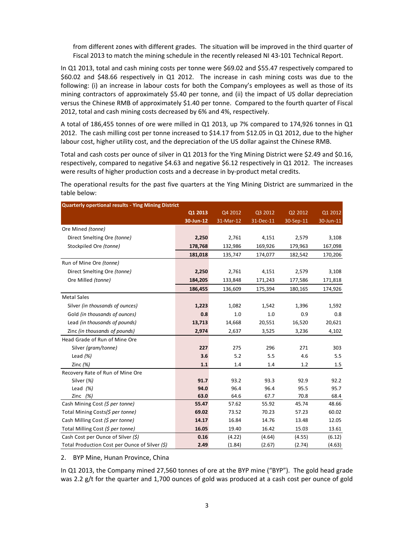from different zones with different grades. The situation will be improved in the third quarter of Fiscal 2013 to match the mining schedule in the recently released NI 43-101 Technical Report.

In Q1 2013, total and cash mining costs per tonne were \$69.02 and \$55.47 respectively compared to \$60.02 and \$48.66 respectively in Q1 2012. The increase in cash mining costs was due to the following: (i) an increase in labour costs for both the Company's employees as well as those of its mining contractors of approximately \$5.40 per tonne, and (ii) the impact of US dollar depreciation versus the Chinese RMB of approximately \$1.40 per tonne. Compared to the fourth quarter of Fiscal 2012, total and cash mining costs decreased by 6% and 4%, respectively.

A total of 186,455 tonnes of ore were milled in Q1 2013, up 7% compared to 174,926 tonnes in Q1 2012. The cash milling cost per tonne increased to \$14.17 from \$12.05 in Q1 2012, due to the higher labour cost, higher utility cost, and the depreciation of the US dollar against the Chinese RMB.

Total and cash costs per ounce of silver in Q1 2013 for the Ying Mining District were \$2.49 and \$0.16, respectively, compared to negative \$4.63 and negative \$6.12 respectively in Q1 2012. The increases were results of higher production costs and a decrease in by‐product metal credits.

The operational results for the past five quarters at the Ying Mining District are summarized in the table below:

| <b>Quarterly opertional results - Ying Mining District</b> |           |           |           |           |           |
|------------------------------------------------------------|-----------|-----------|-----------|-----------|-----------|
|                                                            | Q1 2013   | Q4 2012   | Q3 2012   | Q2 2012   | Q1 2012   |
|                                                            | 30-Jun-12 | 31-Mar-12 | 31-Dec-11 | 30-Sep-11 | 30-Jun-11 |
| Ore Mined (tonne)                                          |           |           |           |           |           |
| Direct Smelting Ore (tonne)                                | 2,250     | 2,761     | 4,151     | 2,579     | 3,108     |
| Stockpiled Ore (tonne)                                     | 178,768   | 132,986   | 169,926   | 179,963   | 167,098   |
|                                                            | 181,018   | 135,747   | 174,077   | 182,542   | 170,206   |
| Run of Mine Ore (tonne)                                    |           |           |           |           |           |
| Direct Smelting Ore (tonne)                                | 2,250     | 2,761     | 4,151     | 2,579     | 3,108     |
| Ore Milled (tonne)                                         | 184,205   | 133,848   | 171,243   | 177,586   | 171,818   |
|                                                            | 186,455   | 136,609   | 175,394   | 180,165   | 174,926   |
| <b>Metal Sales</b>                                         |           |           |           |           |           |
| Silver (in thousands of ounces)                            | 1,223     | 1,082     | 1,542     | 1,396     | 1,592     |
| Gold (in thousands of ounces)                              | 0.8       | 1.0       | 1.0       | 0.9       | 0.8       |
| Lead (in thousands of pounds)                              | 13,713    | 14,668    | 20,551    | 16,520    | 20,621    |
| Zinc (in thousands of pounds)                              | 2,974     | 2,637     | 3,525     | 3,236     | 4,102     |
| Head Grade of Run of Mine Ore                              |           |           |           |           |           |
| Silver (gram/tonne)                                        | 227       | 275       | 296       | 271       | 303       |
| Lead $(%)$                                                 | 3.6       | 5.2       | 5.5       | 4.6       | 5.5       |
| Zinc $(%)$                                                 | $1.1$     | 1.4       | 1.4       | 1.2       | 1.5       |
| Recovery Rate of Run of Mine Ore                           |           |           |           |           |           |
| Silver (%)                                                 | 91.7      | 93.2      | 93.3      | 92.9      | 92.2      |
| Lead $(%)$                                                 | 94.0      | 96.4      | 96.4      | 95.5      | 95.7      |
| Zinc $(%)$                                                 | 63.0      | 64.6      | 67.7      | 70.8      | 68.4      |
| Cash Mining Cost (\$ per tonne)                            | 55.47     | 57.62     | 55.92     | 45.74     | 48.66     |
| Total Mining Costs(\$ per tonne)                           | 69.02     | 73.52     | 70.23     | 57.23     | 60.02     |
| Cash Milling Cost (\$ per tonne)                           | 14.17     | 16.84     | 14.76     | 13.48     | 12.05     |
| Total Milling Cost (\$ per tonne)                          | 16.05     | 19.40     | 16.42     | 15.03     | 13.61     |
| Cash Cost per Ounce of Silver (\$)                         | 0.16      | (4.22)    | (4.64)    | (4.55)    | (6.12)    |
| Total Production Cost per Ounce of Silver (\$)             | 2.49      | (1.84)    | (2.67)    | (2.74)    | (4.63)    |

2. BYP Mine, Hunan Province, China

In Q1 2013, the Company mined 27,560 tonnes of ore at the BYP mine ("BYP"). The gold head grade was 2.2 g/t for the quarter and 1,700 ounces of gold was produced at a cash cost per ounce of gold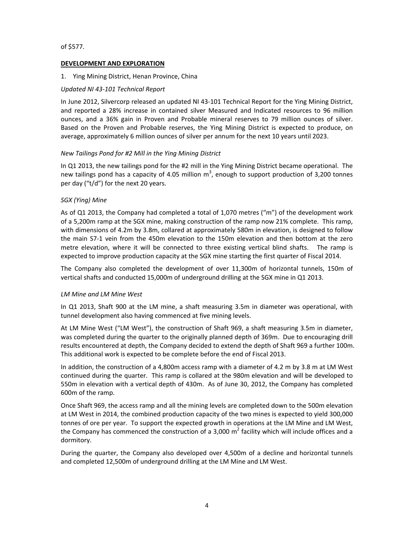#### of \$577.

### **DEVELOPMENT AND EXPLORATION**

#### 1. Ying Mining District, Henan Province, China

#### *Updated NI 43‐101 Technical Report*

In June 2012, Silvercorp released an updated NI 43‐101 Technical Report for the Ying Mining District, and reported a 28% increase in contained silver Measured and Indicated resources to 96 million ounces, and a 36% gain in Proven and Probable mineral reserves to 79 million ounces of silver. Based on the Proven and Probable reserves, the Ying Mining District is expected to produce, on average, approximately 6 million ounces of silver per annum for the next 10 years until 2023.

#### *New Tailings Pond for #2 Mill in the Ying Mining District*

In Q1 2013, the new tailings pond for the #2 mill in the Ying Mining District became operational. The new tailings pond has a capacity of 4.05 million  $m^3$ , enough to support production of 3,200 tonnes per day ("t/d") for the next 20 years.

#### *SGX (Ying) Mine*

As of Q1 2013, the Company had completed a total of 1,070 metres ("m") of the development work of a 5,200m ramp at the SGX mine, making construction of the ramp now 21% complete. This ramp, with dimensions of 4.2m by 3.8m, collared at approximately 580m in elevation, is designed to follow the main S7‐1 vein from the 450m elevation to the 150m elevation and then bottom at the zero metre elevation, where it will be connected to three existing vertical blind shafts. The ramp is expected to improve production capacity at the SGX mine starting the first quarter of Fiscal 2014.

The Company also completed the development of over 11,300m of horizontal tunnels, 150m of vertical shafts and conducted 15,000m of underground drilling at the SGX mine in Q1 2013.

#### *LM Mine and LM Mine West*

In Q1 2013, Shaft 900 at the LM mine, a shaft measuring 3.5m in diameter was operational, with tunnel development also having commenced at five mining levels.

At LM Mine West ("LM West"), the construction of Shaft 969, a shaft measuring 3.5m in diameter, was completed during the quarter to the originally planned depth of 369m. Due to encouraging drill results encountered at depth, the Company decided to extend the depth of Shaft 969 a further 100m. This additional work is expected to be complete before the end of Fiscal 2013.

In addition, the construction of a 4,800m access ramp with a diameter of 4.2 m by 3.8 m at LM West continued during the quarter. This ramp is collared at the 980m elevation and will be developed to 550m in elevation with a vertical depth of 430m. As of June 30, 2012, the Company has completed 600m of the ramp.

Once Shaft 969, the access ramp and all the mining levels are completed down to the 500m elevation at LM West in 2014, the combined production capacity of the two mines is expected to yield 300,000 tonnes of ore per year. To support the expected growth in operations at the LM Mine and LM West, the Company has commenced the construction of a 3,000  $m^2$  facility which will include offices and a dormitory.

During the quarter, the Company also developed over 4,500m of a decline and horizontal tunnels and completed 12,500m of underground drilling at the LM Mine and LM West.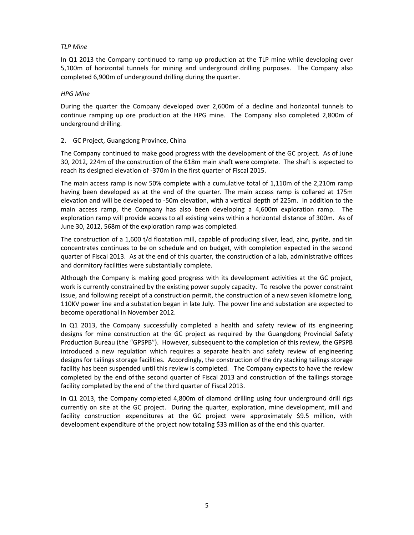#### *TLP Mine*

In Q1 2013 the Company continued to ramp up production at the TLP mine while developing over 5,100m of horizontal tunnels for mining and underground drilling purposes. The Company also completed 6,900m of underground drilling during the quarter.

#### *HPG Mine*

During the quarter the Company developed over 2,600m of a decline and horizontal tunnels to continue ramping up ore production at the HPG mine. The Company also completed 2,800m of underground drilling.

#### 2. GC Project, Guangdong Province, China

The Company continued to make good progress with the development of the GC project. As of June 30, 2012, 224m of the construction of the 618m main shaft were complete. The shaft is expected to reach its designed elevation of ‐370m in the first quarter of Fiscal 2015.

The main access ramp is now 50% complete with a cumulative total of 1,110m of the 2,210m ramp having been developed as at the end of the quarter. The main access ramp is collared at 175m elevation and will be developed to ‐50m elevation, with a vertical depth of 225m. In addition to the main access ramp, the Company has also been developing a 4,600m exploration ramp. The exploration ramp will provide access to all existing veins within a horizontal distance of 300m. As of June 30, 2012, 568m of the exploration ramp was completed.

The construction of a 1,600 t/d floatation mill, capable of producing silver, lead, zinc, pyrite, and tin concentrates continues to be on schedule and on budget, with completion expected in the second quarter of Fiscal 2013. As at the end of this quarter, the construction of a lab, administrative offices and dormitory facilities were substantially complete.

Although the Company is making good progress with its development activities at the GC project, work is currently constrained by the existing power supply capacity. To resolve the power constraint issue, and following receipt of a construction permit, the construction of a new seven kilometre long, 110KV power line and a substation began in late July. The power line and substation are expected to become operational in November 2012.

In Q1 2013, the Company successfully completed a health and safety review of its engineering designs for mine construction at the GC project as required by the Guangdong Provincial Safety Production Bureau (the "GPSPB"). However, subsequent to the completion of this review, the GPSPB introduced a new regulation which requires a separate health and safety review of engineering designs for tailings storage facilities. Accordingly, the construction of the dry stacking tailings storage facility has been suspended until this review is completed. The Company expects to have the review completed by the end ofthe second quarter of Fiscal 2013 and construction of the tailings storage facility completed by the end of the third quarter of Fiscal 2013.

In Q1 2013, the Company completed 4,800m of diamond drilling using four underground drill rigs currently on site at the GC project. During the quarter, exploration, mine development, mill and facility construction expenditures at the GC project were approximately \$9.5 million, with development expenditure of the project now totaling \$33 million as of the end this quarter.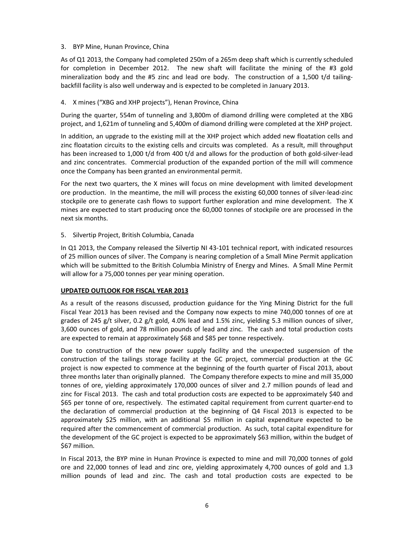### 3. BYP Mine, Hunan Province, China

As of Q1 2013, the Company had completed 250m of a 265m deep shaft which is currently scheduled for completion in December 2012. The new shaft will facilitate the mining of the #3 gold mineralization body and the #5 zinc and lead ore body. The construction of a 1,500 t/d tailingbackfill facility is also well underway and is expected to be completed in January 2013.

### 4. X mines ("XBG and XHP projects"), Henan Province, China

During the quarter, 554m of tunneling and 3,800m of diamond drilling were completed at the XBG project, and 1,621m of tunneling and 5,400m of diamond drilling were completed at the XHP project.

In addition, an upgrade to the existing mill at the XHP project which added new floatation cells and zinc floatation circuits to the existing cells and circuits was completed. As a result, mill throughput has been increased to 1,000 t/d from 400 t/d and allows for the production of both gold-silver-lead and zinc concentrates. Commercial production of the expanded portion of the mill will commence once the Company has been granted an environmental permit.

For the next two quarters, the X mines will focus on mine development with limited development ore production. In the meantime, the mill will process the existing 60,000 tonnes of silver-lead-zinc stockpile ore to generate cash flows to support further exploration and mine development. The X mines are expected to start producing once the 60,000 tonnes of stockpile ore are processed in the next six months.

#### 5. Silvertip Project, British Columbia, Canada

In Q1 2013, the Company released the Silvertip NI 43-101 technical report, with indicated resources of 25 million ounces of silver. The Company is nearing completion of a Small Mine Permit application which will be submitted to the British Columbia Ministry of Energy and Mines. A Small Mine Permit will allow for a 75,000 tonnes per year mining operation.

### **UPDATED OUTLOOK FOR FISCAL YEAR 2013**

As a result of the reasons discussed, production guidance for the Ying Mining District for the full Fiscal Year 2013 has been revised and the Company now expects to mine 740,000 tonnes of ore at grades of 245 g/t silver, 0.2 g/t gold, 4.0% lead and 1.5% zinc, yielding 5.3 million ounces of silver, 3,600 ounces of gold, and 78 million pounds of lead and zinc. The cash and total production costs are expected to remain at approximately \$68 and \$85 per tonne respectively.

Due to construction of the new power supply facility and the unexpected suspension of the construction of the tailings storage facility at the GC project, commercial production at the GC project is now expected to commence at the beginning of the fourth quarter of Fiscal 2013, about three months later than originally planned. The Company therefore expects to mine and mill 35,000 tonnes of ore, yielding approximately 170,000 ounces of silver and 2.7 million pounds of lead and zinc for Fiscal 2013. The cash and total production costs are expected to be approximately \$40 and \$65 per tonne of ore, respectively. The estimated capital requirement from current quarter-end to the declaration of commercial production at the beginning of Q4 Fiscal 2013 is expected to be approximately \$25 million, with an additional \$5 million in capital expenditure expected to be required after the commencement of commercial production. As such, total capital expenditure for the development of the GC project is expected to be approximately \$63 million, within the budget of \$67 million.

In Fiscal 2013, the BYP mine in Hunan Province is expected to mine and mill 70,000 tonnes of gold ore and 22,000 tonnes of lead and zinc ore, yielding approximately 4,700 ounces of gold and 1.3 million pounds of lead and zinc. The cash and total production costs are expected to be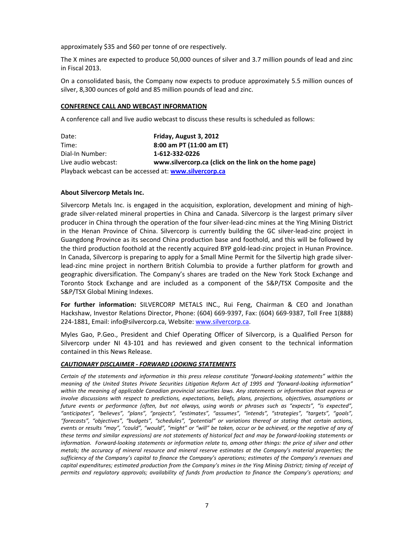approximately \$35 and \$60 per tonne of ore respectively.

The X mines are expected to produce 50,000 ounces of silver and 3.7 million pounds of lead and zinc in Fiscal 2013.

On a consolidated basis, the Company now expects to produce approximately 5.5 million ounces of silver, 8,300 ounces of gold and 85 million pounds of lead and zinc.

#### **CONFERENCE CALL AND WEBCAST INFORMATION**

A conference call and live audio webcast to discuss these results is scheduled as follows:

| Date:                                                  | Friday, August 3, 2012                                 |  |  |  |  |  |
|--------------------------------------------------------|--------------------------------------------------------|--|--|--|--|--|
| Time:                                                  | 8:00 am PT (11:00 am ET)                               |  |  |  |  |  |
| Dial-In Number:                                        | 1-612-332-0226                                         |  |  |  |  |  |
| Live audio webcast:                                    | www.silvercorp.ca (click on the link on the home page) |  |  |  |  |  |
| Playback webcast can be accessed at: www.silvercorp.ca |                                                        |  |  |  |  |  |

#### **About Silvercorp Metals Inc.**

Silvercorp Metals Inc. is engaged in the acquisition, exploration, development and mining of high‐ grade silver‐related mineral properties in China and Canada. Silvercorp is the largest primary silver producer in China through the operation of the four silver-lead-zinc mines at the Ying Mining District in the Henan Province of China. Silvercorp is currently building the GC silver‐lead‐zinc project in Guangdong Province as its second China production base and foothold, and this will be followed by the third production foothold at the recently acquired BYP gold‐lead‐zinc project in Hunan Province. In Canada, Silvercorp is preparing to apply for a Small Mine Permit for the Silvertip high grade silver‐ lead‐zinc mine project in northern British Columbia to provide a further platform for growth and geographic diversification. The Company's shares are traded on the New York Stock Exchange and Toronto Stock Exchange and are included as a component of the S&P/TSX Composite and the S&P/TSX Global Mining Indexes.

**For further information:** SILVERCORP METALS INC., Rui Feng, Chairman & CEO and Jonathan Hackshaw, Investor Relations Director, Phone: (604) 669‐9397, Fax: (604) 669‐9387, Toll Free 1(888) 224‐1881, Email: info@silvercorp.ca, Website: www.silvercorp.ca.

Myles Gao, P.Geo., President and Chief Operating Officer of Silvercorp, is a Qualified Person for Silvercorp under NI 43‐101 and has reviewed and given consent to the technical information contained in this News Release.

#### *CAUTIONARY DISCLAIMER ‐ FORWARD LOOKING STATEMENTS*

Certain of the statements and information in this press release constitute "forward-looking statements" within the meaning of the United States Private Securities Litigation Reform Act of 1995 and "forward-looking information" within the meaning of applicable Canadian provincial securities laws. Any statements or information that express or *involve discussions with respect to predictions, expectations, beliefs, plans, projections, objectives, assumptions or* future events or performance (often, but not always, using words or phrases such as "expects", "is expected", *"anticipates", "believes", "plans", "projects", "estimates", "assumes", "intends", "strategies", "targets", "goals", "forecasts", "objectives", "budgets", "schedules", "potential" or variations thereof or stating that certain actions,* events or results "may", "could", "would", "might" or "will" be taken, occur or be achieved, or the negative of any of these terms and similar expressions) are not statements of historical fact and may be forward-looking statements or information. Forward-looking statements or information relate to, among other things: the price of silver and other *metals; the accuracy of mineral resource and mineral reserve estimates at the Company's material properties; the* sufficiency of the Company's capital to finance the Company's operations; estimates of the Company's revenues and capital expenditures; estimated production from the Company's mines in the Ying Mining District; timing of receipt of *permits and regulatory approvals; availability of funds from production to finance the Company's operations; and*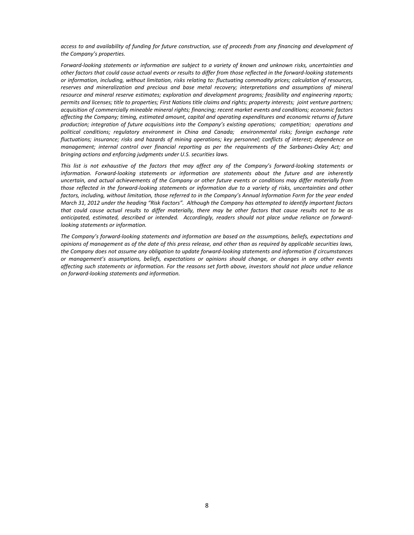access to and availability of funding for future construction, use of proceeds from any financing and development of *the Company's properties.*

Forward-looking statements or information are subject to a variety of known and unknown risks, uncertainties and other factors that could cause actual events or results to differ from those reflected in the forward-looking statements *or information, including, without limitation, risks relating to: fluctuating commodity prices; calculation of resources, reserves and mineralization and precious and base metal recovery; interpretations and assumptions of mineral resource and mineral reserve estimates; exploration and development programs; feasibility and engineering reports;* permits and licenses; title to properties; First Nations title claims and rights; property interests; joint venture partners; *acquisition of commercially mineable mineral rights; financing; recent market events and conditions; economic factors affecting the Company; timing, estimated amount, capital and operating expenditures and economic returns of future production; integration of future acquisitions into the Company's existing operations; competition; operations and political conditions; regulatory environment in China and Canada; environmental risks; foreign exchange rate fluctuations; insurance; risks and hazards of mining operations; key personnel; conflicts of interest; dependence on* management; internal control over financial reporting as per the requirements of the Sarbanes-Oxley Act; and *bringing actions and enforcing judgments under U.S. securities laws.*

This list is not exhaustive of the factors that may affect any of the Company's forward-looking statements or *information. Forward‐looking statements or information are statements about the future and are inherently* uncertain, and actual achievements of the Company or other future events or conditions may differ materially from those reflected in the forward-looking statements or information due to a variety of risks, uncertainties and other factors, including, without limitation, those referred to in the Company's Annual Information Form for the year ended March 31, 2012 under the heading "Risk Factors". Although the Company has attempted to identify important factors that could cause actual results to differ materially, there may be other factors that cause results not to be as anticipated, estimated, described or intended. Accordingly, readers should not place undue reliance on forward*looking statements or information.* 

*The Company's forward‐looking statements and information are based on the assumptions, beliefs, expectations and* opinions of management as of the date of this press release, and other than as required by applicable securities laws, the Company does not assume any obligation to update forward-looking statements and information if circumstances *or management's assumptions, beliefs, expectations or opinions should change, or changes in any other events* affecting such statements or information. For the reasons set forth above, investors should not place undue reliance *on forward‐looking statements and information.*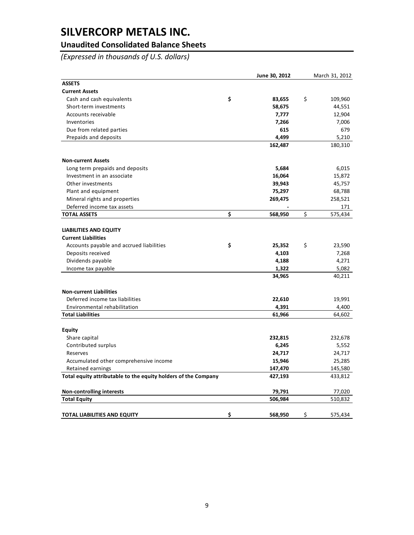## **Unaudited Consolidated Balance Sheets**

*(Expressed in thousands of U.S. dollars)*

|                                                                | June 30, 2012 | March 31, 2012 |
|----------------------------------------------------------------|---------------|----------------|
| <b>ASSETS</b>                                                  |               |                |
| <b>Current Assets</b>                                          |               |                |
| Cash and cash equivalents                                      | \$<br>83,655  | \$<br>109,960  |
| Short-term investments                                         | 58,675        | 44,551         |
| Accounts receivable                                            | 7,777         | 12,904         |
| Inventories                                                    | 7,266         | 7,006          |
| Due from related parties                                       | 615           | 679            |
| Prepaids and deposits                                          | 4,499         | 5,210          |
|                                                                | 162,487       | 180,310        |
| <b>Non-current Assets</b>                                      |               |                |
| Long term prepaids and deposits                                | 5,684         | 6,015          |
| Investment in an associate                                     | 16,064        | 15,872         |
| Other investments                                              | 39,943        | 45,757         |
| Plant and equipment                                            | 75,297        | 68,788         |
| Mineral rights and properties                                  | 269,475       | 258,521        |
| Deferred income tax assets                                     |               | 171            |
| <b>TOTAL ASSETS</b>                                            | \$<br>568,950 | \$<br>575,434  |
|                                                                |               |                |
| <b>LIABILITIES AND EQUITY</b>                                  |               |                |
| <b>Current Liabilities</b>                                     |               |                |
| Accounts payable and accrued liabilities                       | \$<br>25,352  | \$<br>23,590   |
| Deposits received                                              | 4,103         | 7,268          |
| Dividends payable                                              | 4,188         | 4,271          |
| Income tax payable                                             | 1,322         | 5,082          |
|                                                                | 34,965        | 40,211         |
| <b>Non-current Liabilities</b>                                 |               |                |
| Deferred income tax liabilities                                | 22,610        | 19,991         |
| Environmental rehabilitation                                   | 4,391         | 4,400          |
| <b>Total Liabilities</b>                                       | 61,966        | 64,602         |
| <b>Equity</b>                                                  |               |                |
| Share capital                                                  | 232,815       | 232,678        |
| Contributed surplus                                            | 6,245         | 5,552          |
| Reserves                                                       | 24,717        | 24,717         |
| Accumulated other comprehensive income                         | 15,946        | 25,285         |
| Retained earnings                                              | 147,470       | 145,580        |
| Total equity attributable to the equity holders of the Company | 427,193       | 433,812        |
| <b>Non-controlling interests</b>                               | 79,791        | 77,020         |
| <b>Total Equity</b>                                            | 506,984       | 510,832        |
|                                                                |               |                |
| <b>TOTAL LIABILITIES AND EQUITY</b>                            | \$<br>568,950 | \$<br>575,434  |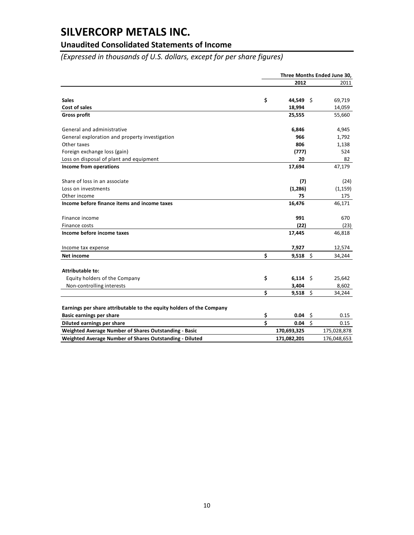## **Unaudited Consolidated Statements of Income**

*(Expressed in thousands of U.S. dollars, except for per share figures)*

|                                                                      | Three Months Ended June 30, |             |         |             |
|----------------------------------------------------------------------|-----------------------------|-------------|---------|-------------|
|                                                                      |                             | 2012        |         | 2011        |
|                                                                      |                             |             |         |             |
| <b>Sales</b>                                                         | \$                          | 44,549 \$   |         | 69,719      |
| Cost of sales                                                        |                             | 18,994      |         | 14,059      |
| <b>Gross profit</b>                                                  |                             | 25,555      |         | 55,660      |
| General and administrative                                           |                             | 6,846       |         | 4,945       |
| General exploration and property investigation                       |                             | 966         |         | 1,792       |
| Other taxes                                                          |                             | 806         |         | 1,138       |
| Foreign exchange loss (gain)                                         |                             | (777)       |         | 524         |
| Loss on disposal of plant and equipment                              |                             | 20          |         | 82          |
| Income from operations                                               |                             | 17,694      |         | 47,179      |
| Share of loss in an associate                                        |                             | (7)         |         | (24)        |
| Loss on investments                                                  |                             | (1,286)     |         | (1, 159)    |
| Other income                                                         |                             | 75          |         | 175         |
| Income before finance items and income taxes                         |                             | 16,476      |         | 46,171      |
| Finance income                                                       |                             | 991         |         | 670         |
| Finance costs                                                        |                             | (22)        |         | (23)        |
| Income before income taxes                                           |                             | 17,445      |         | 46,818      |
| Income tax expense                                                   |                             | 7,927       |         | 12,574      |
| Net income                                                           | Ś                           | $9,518$ \$  |         | 34,244      |
| <b>Attributable to:</b>                                              |                             |             |         |             |
| Equity holders of the Company                                        | \$                          | $6,114$ \$  |         | 25,642      |
| Non-controlling interests                                            |                             | 3,404       |         | 8,602       |
|                                                                      | \$                          | $9,518$ \$  |         | 34,244      |
|                                                                      |                             |             |         |             |
| Earnings per share attributable to the equity holders of the Company |                             |             |         |             |
| <b>Basic earnings per share</b>                                      | \$                          | 0.04        | \$      | 0.15        |
| Diluted earnings per share                                           | \$                          | 0.04        | $\zeta$ | 0.15        |
| Weighted Average Number of Shares Outstanding - Basic                |                             | 170,693,325 |         | 175,028,878 |
| Weighted Average Number of Shares Outstanding - Diluted              |                             | 171,082,201 |         | 176,048,653 |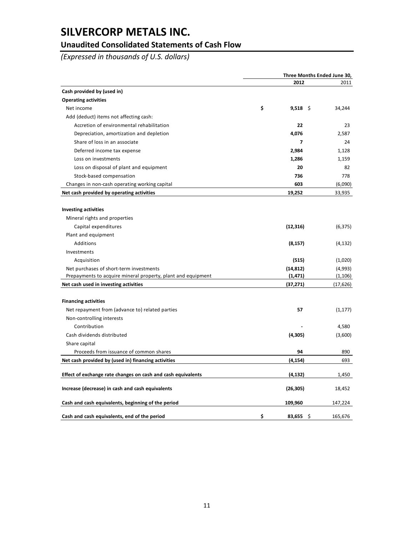## **Unaudited Consolidated Statements of Cash Flow**

*(Expressed in thousands of U.S. dollars)*

|                                                              | Three Months Ended June 30, |           |  |
|--------------------------------------------------------------|-----------------------------|-----------|--|
|                                                              | 2012                        | 2011      |  |
| Cash provided by (used in)                                   |                             |           |  |
| <b>Operating activities</b>                                  |                             |           |  |
| Net income                                                   | \$<br>$9,518$ \$            | 34,244    |  |
| Add (deduct) items not affecting cash:                       |                             |           |  |
| Accretion of environmental rehabilitation                    | 22                          | 23        |  |
| Depreciation, amortization and depletion                     | 4,076                       | 2,587     |  |
| Share of loss in an associate                                | 7                           | 24        |  |
| Deferred income tax expense                                  | 2,984                       | 1,128     |  |
| Loss on investments                                          | 1,286                       | 1,159     |  |
| Loss on disposal of plant and equipment                      | 20                          | 82        |  |
| Stock-based compensation                                     | 736                         | 778       |  |
| Changes in non-cash operating working capital                | 603                         | (6,090)   |  |
| Net cash provided by operating activities                    | 19,252                      | 33,935    |  |
|                                                              |                             |           |  |
| <b>Investing activities</b>                                  |                             |           |  |
| Mineral rights and properties                                |                             |           |  |
| Capital expenditures                                         | (12, 316)                   | (6, 375)  |  |
| Plant and equipment                                          |                             |           |  |
| Additions                                                    | (8, 157)                    | (4, 132)  |  |
| Investments                                                  |                             |           |  |
| Acquisition                                                  | (515)                       | (1,020)   |  |
| Net purchases of short-term investments                      | (14, 812)                   | (4,993)   |  |
| Prepayments to acquire mineral property, plant and equipment | (1, 471)                    | (1, 106)  |  |
| Net cash used in investing activities                        | (37, 271)                   | (17, 626) |  |
|                                                              |                             |           |  |
| <b>Financing activities</b>                                  |                             |           |  |
| Net repayment from (advance to) related parties              | 57                          | (1, 177)  |  |
| Non-controlling interests                                    |                             |           |  |
| Contribution                                                 |                             | 4,580     |  |
| Cash dividends distributed                                   | (4, 305)                    | (3,600)   |  |
| Share capital                                                |                             |           |  |
| Proceeds from issuance of common shares                      | 94                          | 890       |  |
| Net cash provided by (used in) financing activities          | (4, 154)                    | 693       |  |
| Effect of exchange rate changes on cash and cash equivalents | (4, 132)                    | 1,450     |  |
| Increase (decrease) in cash and cash equivalents             | (26, 305)                   | 18,452    |  |
| Cash and cash equivalents, beginning of the period           | 109,960                     | 147,224   |  |
| Cash and cash equivalents, end of the period                 | \$<br>83,655<br>\$.         | 165,676   |  |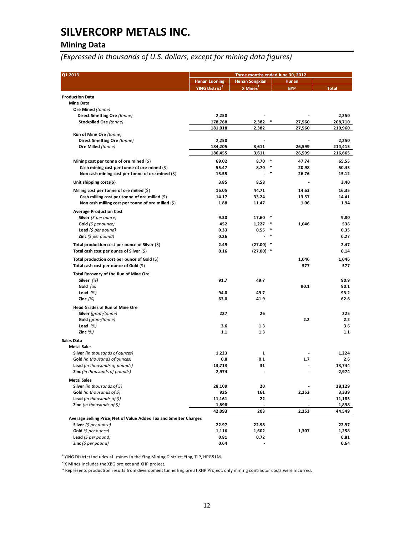## **Mining Data**

*(Expressed in thousands of U.S. dollars, except for mining data figures)*

| Q1 2013                                                           | Three months ended June 30, 2012 |                          |            |              |  |
|-------------------------------------------------------------------|----------------------------------|--------------------------|------------|--------------|--|
|                                                                   | <b>Henan Luoning</b>             | <b>Henan Songxian</b>    | Hunan      |              |  |
|                                                                   | YING District <sup>1</sup>       | $X$ Mines <sup>2</sup>   | <b>BYP</b> | <b>Total</b> |  |
| <b>Production Data</b>                                            |                                  |                          |            |              |  |
| <b>Mine Data</b>                                                  |                                  |                          |            |              |  |
| Ore Mined (tonne)                                                 |                                  |                          |            |              |  |
| Direct Smelting Ore (tonne)                                       | 2,250                            |                          |            | 2,250        |  |
| Stockpiled Ore (tonne)                                            | 178,768                          | 2,382                    | 27,560     | 208,710      |  |
|                                                                   | 181,018                          | 2,382                    | 27,560     | 210,960      |  |
| Run of Mine Ore (tonne)                                           |                                  |                          |            |              |  |
| Direct Smelting Ore (tonne)                                       | 2,250                            |                          |            | 2,250        |  |
| Ore Milled (tonne)                                                | 184,205                          | 3,611                    | 26,599     | 214,415      |  |
|                                                                   | 186,455                          | 3,611                    | 26,599     | 216,665      |  |
| Mining cost per tonne of ore mined $(\xi)$                        | 69.02                            | $8.70*$                  | 47.74      | 65.55        |  |
| Cash mining cost per tonne of ore mined $(\xi)$                   | 55.47                            | 8.70                     | 20.98      | 50.43        |  |
| Non cash mining cost per tonne of ore mined $(\xi)$               | 13.55                            |                          | 26.76      | 15.12        |  |
| Unit shipping costs(\$)                                           | 3.85                             | 8.58                     |            | 3.40         |  |
| Milling cost per tonne of ore milled $(\xi)$                      | 16.05                            | 44.71                    | 14.63      | 16.35        |  |
| Cash milling cost per tonne of ore milled $(\xi)$                 | 14.17                            | 33.24                    | 13.57      | 14.41        |  |
| Non cash milling cost per tonne of ore milled $(\xi)$             | 1.88                             | 11.47                    | 1.06       | 1.94         |  |
|                                                                   |                                  |                          |            |              |  |
| <b>Average Production Cost</b>                                    |                                  |                          |            |              |  |
| <b>Silver</b> (\$ per ounce)                                      | 9.30                             | 17.60                    |            | 9.80         |  |
| Gold $(5$ per ounce)                                              | 452                              | 1,227                    | 1,046      | 536          |  |
| Lead $(5$ per pound)                                              | 0.33                             | 0.55                     |            | 0.35         |  |
| <b>Zinc</b> (\$ per pound)                                        | 0.26                             |                          |            | 0.27         |  |
| Total production cost per ounce of Silver $(\xi)$                 | 2.49                             | $(27.00)$ *              |            | 2.47         |  |
| Total cash cost per ounce of Silver $(\xi)$                       | 0.16                             | $(27.00)$ *              |            | 0.14         |  |
| Total production cost per ounce of Gold $(\xi)$                   |                                  |                          | 1,046      | 1,046        |  |
| Total cash cost per ounce of Gold $(\xi)$                         |                                  |                          | 577        | 577          |  |
| Total Recovery of the Run of Mine Ore                             |                                  |                          |            |              |  |
| Silver $(%)$                                                      | 91.7                             | 49.7                     |            | 90.9         |  |
| Gold $(%)$                                                        |                                  |                          | 90.1       | 90.1         |  |
| Lead $(%)$                                                        | 94.0                             | 49.7                     |            | 93.2         |  |
| Zinc $(%)$                                                        | 63.0                             | 41.9                     |            | 62.6         |  |
| <b>Head Grades of Run of Mine Ore</b>                             |                                  |                          |            |              |  |
| Silver (gram/tonne)                                               | 227                              | 26                       |            | 225          |  |
| Gold (gram/tonne)                                                 |                                  |                          | 2.2        | 2.2          |  |
| Lead $(%)$                                                        | 3.6                              | 1.3                      |            | 3.6          |  |
| Zinc $(\%)$                                                       | 1.1                              | 1.3                      |            | 1.1          |  |
|                                                                   |                                  |                          |            |              |  |
| <b>Sales Data</b><br><b>Metal Sales</b>                           |                                  |                          |            |              |  |
| Silver (in thousands of ounces)                                   | 1,223                            | $\mathbf{1}$             |            | 1,224        |  |
| Gold (in thousands of ounces)                                     | 0.8                              | 0.1                      | 1.7        | 2.6          |  |
| Lead (in thousands of pounds)                                     | 13,713                           | 31                       |            | 13,744       |  |
| Zinc (in thousands of pounds)                                     | 2,974                            |                          |            | 2,974        |  |
|                                                                   |                                  |                          |            |              |  |
| <b>Metal Sales</b>                                                |                                  |                          |            |              |  |
| <b>Silver</b> (in thousands of $\sharp$ )                         | 28,109                           | 20                       |            | 28,129       |  |
| Gold (in thousands of \$)                                         | 925                              | 161                      | 2,253      | 3,339        |  |
| <b>Lead</b> (in thousands of $\sharp$ )                           | 11,161                           | 22                       |            | 11,183       |  |
| <b>Zinc</b> (in thousands of $\zeta$ )                            | 1,898                            |                          |            | 1,898        |  |
|                                                                   | 42,093                           | 203                      | 2,253      | 44,549       |  |
| Average Selling Price, Net of Value Added Tax and Smelter Charges |                                  |                          |            |              |  |
| Silver (\$ per ounce)                                             | 22.97                            | 22.98                    |            | 22.97        |  |
| Gold (\$ per ounce)                                               | 1,116                            | 1,602                    | 1,307      | 1,258        |  |
| Lead $(5$ per pound)                                              | 0.81                             | 0.72                     |            | 0.81         |  |
| Zinc (\$ per pound)                                               | 0.64                             | $\overline{\phantom{a}}$ |            | 0.64         |  |

 $1$  YING District includes all mines in the Ying Mining District: Ying, TLP, HPG&LM.

<sup>2</sup> X Mines includes the XBG project and XHP project.

\* Represents production results from development tunnelling ore at XHP Project, only mining contractor costs were incurred.